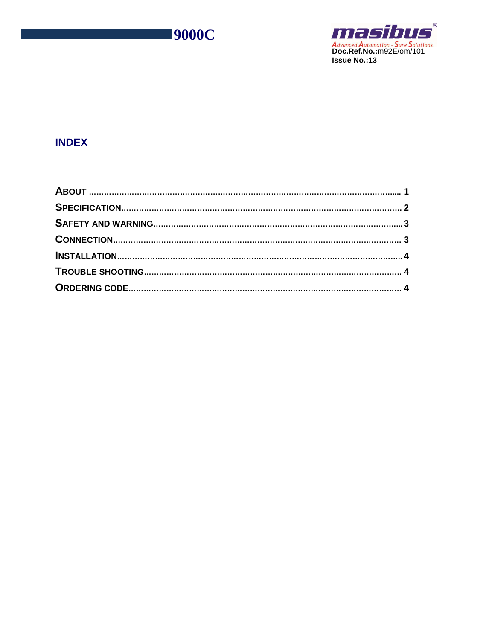



# **INDEX**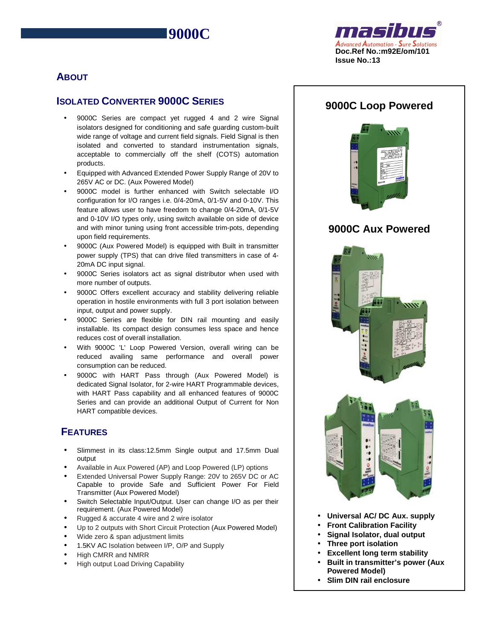**9000C**



# **ABOUT**

 $\overline{a}$ 

# **ISOLATED CONVERTER 9000C SERIES**

- 9000C Series are compact yet rugged 4 and 2 wire Signal isolators designed for conditioning and safe guarding custom-built wide range of voltage and current field signals. Field Signal is then isolated and converted to standard instrumentation signals, acceptable to commercially off the shelf (COTS) automation products.
- Equipped with Advanced Extended Power Supply Range of 20V to 265V AC or DC. (Aux Powered Model)
- 9000C model is further enhanced with Switch selectable I/O configuration for I/O ranges i.e. 0/4-20mA, 0/1-5V and 0-10V. This feature allows user to have freedom to change 0/4-20mA, 0/1-5V and 0-10V I/O types only, using switch available on side of device and with minor tuning using front accessible trim-pots, depending upon field requirements.
- 9000C (Aux Powered Model) is equipped with Built in transmitter power supply (TPS) that can drive filed transmitters in case of 4- 20mA DC input signal.
- 9000C Series isolators act as signal distributor when used with more number of outputs.
- 9000C Offers excellent accuracy and stability delivering reliable operation in hostile environments with full 3 port isolation between input, output and power supply.
- 9000C Series are flexible for DIN rail mounting and easily installable. Its compact design consumes less space and hence reduces cost of overall installation.
- With 9000C 'L' Loop Powered Version, overall wiring can be reduced availing same performance and overall power consumption can be reduced.
- 9000C with HART Pass through (Aux Powered Model) is dedicated Signal Isolator, for 2-wire HART Programmable devices, with HART Pass capability and all enhanced features of 9000C Series and can provide an additional Output of Current for Non HART compatible devices.

# **FEATURES**

- Slimmest in its class:12.5mm Single output and 17.5mm Dual output
- Available in Aux Powered (AP) and Loop Powered (LP) options
- Extended Universal Power Supply Range: 20V to 265V DC or AC Capable to provide Safe and Sufficient Power For Field Transmitter (Aux Powered Model)
- Switch Selectable Input/Output. User can change I/O as per their requirement. (Aux Powered Model)
- Rugged & accurate 4 wire and 2 wire isolator
- Up to 2 outputs with Short Circuit Protection (Aux Powered Model)
- Wide zero & span adjustment limits
- 1.5KV AC Isolation between I/P, O/P and Supply
- High CMRR and NMRR
- High output Load Driving Capability



• **Slim DIN rail enclosure**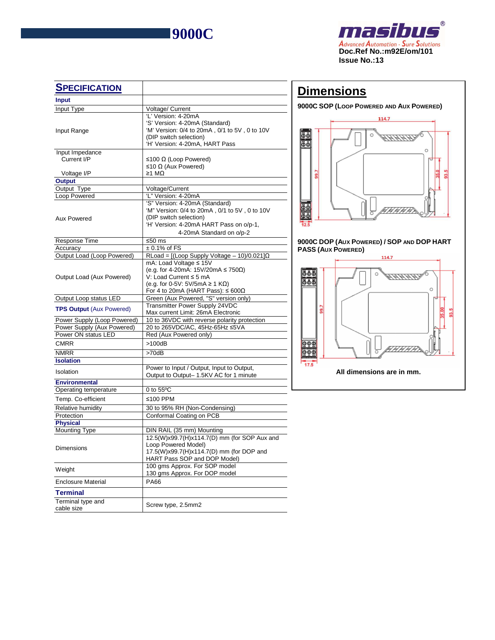

 $\overline{a}$ 



| <b>SPECIFICATION</b>            |                                                                                                                                                                                  |  |  |  |  |  |  |
|---------------------------------|----------------------------------------------------------------------------------------------------------------------------------------------------------------------------------|--|--|--|--|--|--|
| Input                           |                                                                                                                                                                                  |  |  |  |  |  |  |
| Input Type                      | Voltage/ Current                                                                                                                                                                 |  |  |  |  |  |  |
| Input Range                     | 'L' Version: 4-20mA<br>'S' Version: 4-20mA (Standard)<br>'M' Version: 0/4 to 20mA, 0/1 to 5V, 0 to 10V<br>(DIP switch selection)<br>'H' Version: 4-20mA, HART Pass               |  |  |  |  |  |  |
| Input Impedance                 |                                                                                                                                                                                  |  |  |  |  |  |  |
| Current I/P                     | ≤100 Ω (Loop Powered)<br>≤10 Ω (Aux Powered)                                                                                                                                     |  |  |  |  |  |  |
| Voltage I/P                     | ≥1 MΩ                                                                                                                                                                            |  |  |  |  |  |  |
| <b>Output</b>                   |                                                                                                                                                                                  |  |  |  |  |  |  |
| Output Type                     | Voltage/Current<br>'L" Version: 4-20mA                                                                                                                                           |  |  |  |  |  |  |
| Loop Powered                    |                                                                                                                                                                                  |  |  |  |  |  |  |
| Aux Powered                     | 'S" Version: 4-20mA (Standard)<br>'M" Version: 0/4 to 20mA, 0/1 to 5V, 0 to 10V<br>(DIP switch selection)<br>'H' Version: 4-20mA HART Pass on o/p-1,<br>4-20mA Standard on o/p-2 |  |  |  |  |  |  |
| Response Time                   | ≤50 $ms$                                                                                                                                                                         |  |  |  |  |  |  |
| Accuracy                        | $\pm 0.1\%$ of FS                                                                                                                                                                |  |  |  |  |  |  |
| Output Load (Loop Powered)      | RLoad = $[(Loop Supply Voltage - 10)/0.021]\Omega$                                                                                                                               |  |  |  |  |  |  |
| Output Load (Aux Powered)       | mA: Load Voltage ≤ 15V<br>(e.g. for 4-20mA: 15V/20mA ≤ 750Ω)<br>V: Load Current ≤ 5 mA<br>(e.g. for 0-5V: 5V/5mA $\geq$ 1 KQ)<br>For 4 to 20mA (HART Pass): $\leq 600\Omega$     |  |  |  |  |  |  |
| Output Loop status LED          | Green (Aux Powered, "S" version only)                                                                                                                                            |  |  |  |  |  |  |
| <b>TPS Output (Aux Powered)</b> | <b>Transmitter Power Supply 24VDC</b><br>Max current Limit: 26mA Electronic                                                                                                      |  |  |  |  |  |  |
| Power Supply (Loop Powered)     | 10 to 36VDC with reverse polarity protection                                                                                                                                     |  |  |  |  |  |  |
| Power Supply (Aux Powered)      | 20 to 265VDC/AC, 45Hz-65Hz ≤5VA                                                                                                                                                  |  |  |  |  |  |  |
| Power ON status LED             | Red (Aux Powered only)                                                                                                                                                           |  |  |  |  |  |  |
| <b>CMRR</b>                     | >100dB                                                                                                                                                                           |  |  |  |  |  |  |
| <b>NMRR</b>                     | $>70$ d $B$                                                                                                                                                                      |  |  |  |  |  |  |
| <b>Isolation</b>                |                                                                                                                                                                                  |  |  |  |  |  |  |
| Isolation                       | Power to Input / Output, Input to Output,<br>Output to Output- 1.5KV AC for 1 minute                                                                                             |  |  |  |  |  |  |
| <b>Environmental</b>            |                                                                                                                                                                                  |  |  |  |  |  |  |
| Operating temperature           | 0 to $55^{\circ}$ C                                                                                                                                                              |  |  |  |  |  |  |
| Temp. Co-efficient              | ≤100 PPM                                                                                                                                                                         |  |  |  |  |  |  |
| Relative humidity               | 30 to 95% RH (Non-Condensing)                                                                                                                                                    |  |  |  |  |  |  |
| Protection                      | Conformal Coating on PCB                                                                                                                                                         |  |  |  |  |  |  |
| <b>Physical</b>                 |                                                                                                                                                                                  |  |  |  |  |  |  |
| Mounting Type                   | DIN RAIL (35 mm) Mounting                                                                                                                                                        |  |  |  |  |  |  |
| Dimensions                      | 12.5(W)x99.7(H)x114.7(D) mm (for SOP Aux and<br>Loop Powered Model)<br>17.5(W)x99.7(H)x114.7(D) mm (for DOP and<br>HART Pass SOP and DOP Model)                                  |  |  |  |  |  |  |
| Weight                          | 100 gms Approx. For SOP model<br>130 gms Approx. For DOP model                                                                                                                   |  |  |  |  |  |  |
| <b>Enclosure Material</b>       | <b>PA66</b>                                                                                                                                                                      |  |  |  |  |  |  |
| <b>Terminal</b>                 |                                                                                                                                                                                  |  |  |  |  |  |  |
| Terminal type and<br>cable size | Screw type, 2.5mm2                                                                                                                                                               |  |  |  |  |  |  |

# **Dimensions**

**9000C SOP (LOOP POWERED AND AUX POWERED)** 



### **9000C DOP (AUX POWERED) / SOP AND DOP HART PASS (AUX POWERED)**

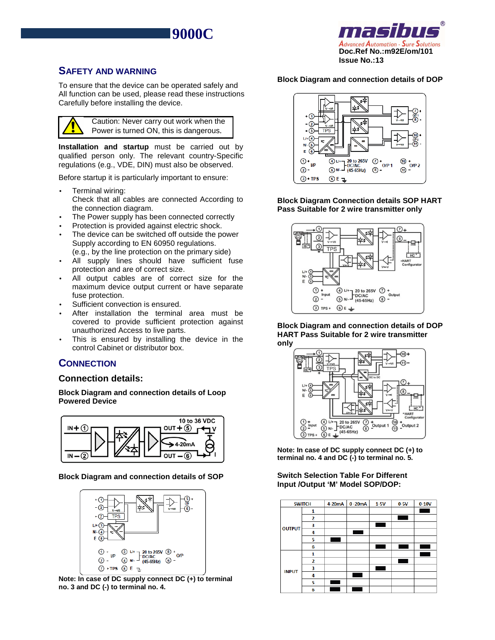



## **SAFETY AND WARNING**

 $\overline{a}$ 

To ensure that the device can be operated safely and All function can be used, please read these instructions Carefully before installing the device.



**Installation and startup** must be carried out by qualified person only. The relevant country-Specific regulations (e.g., VDE, DIN) must also be observed.

Before startup it is particularly important to ensure:

- Terminal wiring: Check that all cables are connected According to the connection diagram.
- The Power supply has been connected correctly
- Protection is provided against electric shock.
- The device can be switched off outside the power Supply according to EN 60950 regulations. (e.g., by the line protection on the primary side)
- All supply lines should have sufficient fuse protection and are of correct size.
- All output cables are of correct size for the maximum device output current or have separate fuse protection.
- Sufficient convection is ensured.
- After installation the terminal area must be covered to provide sufficient protection against unauthorized Access to live parts.
- This is ensured by installing the device in the control Cabinet or distributor box.

# **CONNECTION**

## **Connection details:**

**Block Diagram and connection details of Loop Powered Device** 



### **Block Diagram and connection details of SOP**



**Note: In case of DC supply connect DC (+) to terminal no. 3 and DC (-) to terminal no. 4.** 

### **Block Diagram and connection details of DOP**



**Block Diagram Connection details SOP HART Pass Suitable for 2 wire transmitter only** 



**Block Diagram and connection details of DOP HART Pass Suitable for 2 wire transmitter only** 



**Note: In case of DC supply connect DC (+) to terminal no. 4 and DC (-) to terminal no. 5.** 

### **Switch Selection Table For Different Input /Output 'M' Model SOP/DOP:**